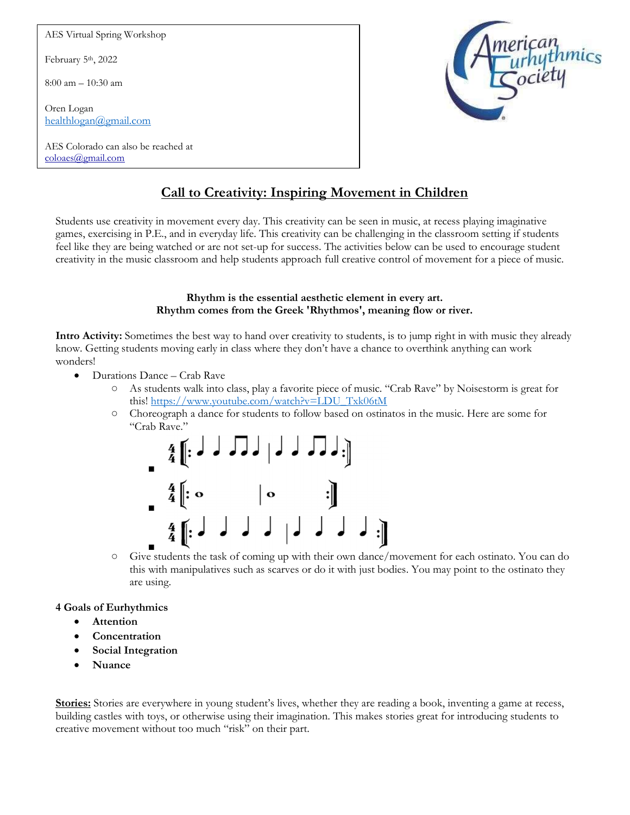AES Virtual Spring Workshop

February 5<sup>th</sup>, 2022

8:00 am – 10:30 am

Oren Logan healthlogan@gmail.com

AES Colorado can also be reached at coloaes@gmail.com



# Call to Creativity: Inspiring Movement in Children

Students use creativity in movement every day. This creativity can be seen in music, at recess playing imaginative games, exercising in P.E., and in everyday life. This creativity can be challenging in the classroom setting if students feel like they are being watched or are not set-up for success. The activities below can be used to encourage student creativity in the music classroom and help students approach full creative control of movement for a piece of music.

#### Rhythm is the essential aesthetic element in every art. Rhythm comes from the Greek 'Rhythmos', meaning flow or river.

Intro Activity: Sometimes the best way to hand over creativity to students, is to jump right in with music they already know. Getting students moving early in class where they don't have a chance to overthink anything can work wonders!

- Durations Dance Crab Rave
	- As students walk into class, play a favorite piece of music. "Crab Rave" by Noisestorm is great for this! https://www.youtube.com/watch?v=LDU\_Txk06tM
	- Choreograph a dance for students to follow based on ostinatos in the music. Here are some for "Crab Rave."



○ Give students the task of coming up with their own dance/movement for each ostinato. You can do this with manipulatives such as scarves or do it with just bodies. You may point to the ostinato they are using.

## 4 Goals of Eurhythmics

- Attention
- Concentration
- Social Integration
- Nuance

Stories: Stories are everywhere in young student's lives, whether they are reading a book, inventing a game at recess, building castles with toys, or otherwise using their imagination. This makes stories great for introducing students to creative movement without too much "risk" on their part.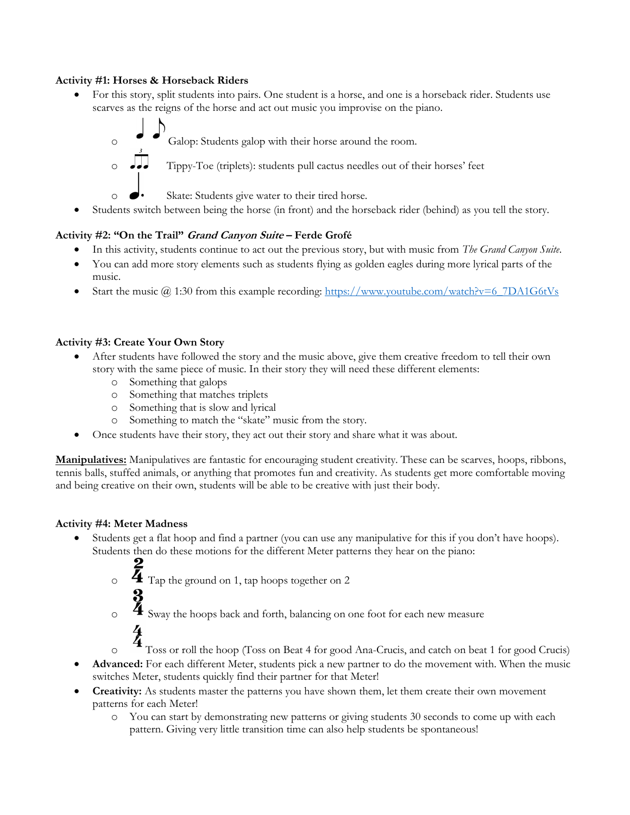## Activity #1: Horses & Horseback Riders

- For this story, split students into pairs. One student is a horse, and one is a horseback rider. Students use scarves as the reigns of the horse and act out music you improvise on the piano.
	- o Galop: Students galop with their horse around the room.  $\circ$   $\bullet\bullet\bullet$  Tippy-Toe (triplets): students pull cactus needles out of their horses' feet o Skate: Students give water to their tired horse.
- Students switch between being the horse (in front) and the horseback rider (behind) as you tell the story.

## Activity #2: "On the Trail" Grand Canyon Suite – Ferde Grofé

- In this activity, students continue to act out the previous story, but with music from The Grand Canyon Suite.
- You can add more story elements such as students flying as golden eagles during more lyrical parts of the music.
- Start the music  $\omega$  1:30 from this example recording: https://www.youtube.com/watch?v=6\_7DA1G6tVs

## Activity #3: Create Your Own Story

- After students have followed the story and the music above, give them creative freedom to tell their own story with the same piece of music. In their story they will need these different elements:
	- o Something that galops
	- o Something that matches triplets
	- o Something that is slow and lyrical
	- o Something to match the "skate" music from the story.
- Once students have their story, they act out their story and share what it was about.

Manipulatives: Manipulatives are fantastic for encouraging student creativity. These can be scarves, hoops, ribbons, tennis balls, stuffed animals, or anything that promotes fun and creativity. As students get more comfortable moving and being creative on their own, students will be able to be creative with just their body.

## Activity #4: Meter Madness

- Students get a flat hoop and find a partner (you can use any manipulative for this if you don't have hoops). Students then do these motions for the different Meter patterns they hear on the piano:
	- $\overline{4}$  Tap the ground on 1, tap hoops together on 2

 $\frac{3}{4}$  Sway the hoops back and forth, balancing on one foot for each new measure

Toss or roll the hoop (Toss on Beat 4 for good Ana-Crucis, and catch on beat 1 for good Crucis)

- Advanced: For each different Meter, students pick a new partner to do the movement with. When the music switches Meter, students quickly find their partner for that Meter!
- Creativity: As students master the patterns you have shown them, let them create their own movement patterns for each Meter!
	- o You can start by demonstrating new patterns or giving students 30 seconds to come up with each pattern. Giving very little transition time can also help students be spontaneous!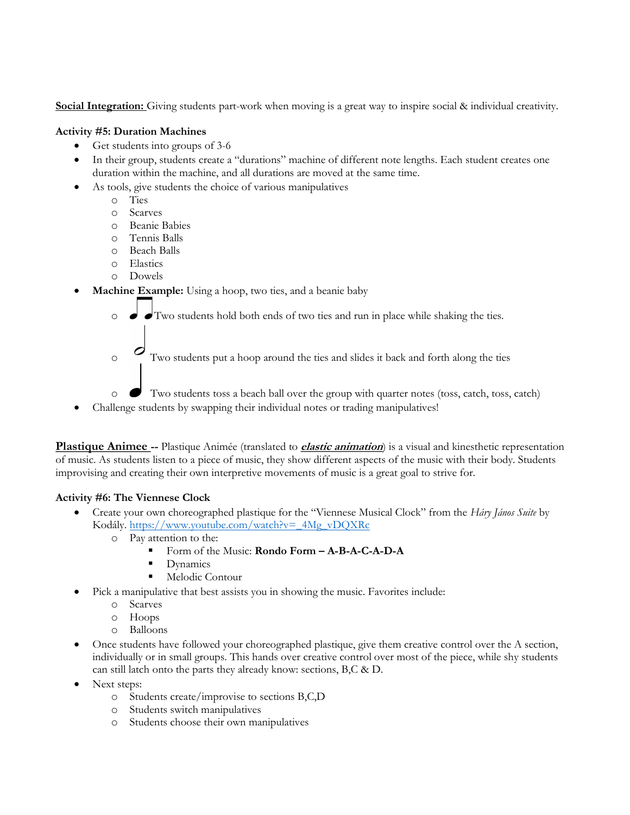Social Integration: Giving students part-work when moving is a great way to inspire social & individual creativity.

#### Activity #5: Duration Machines

- Get students into groups of 3-6
- In their group, students create a "durations" machine of different note lengths. Each student creates one duration within the machine, and all durations are moved at the same time.
- As tools, give students the choice of various manipulatives
	- o Ties
	- o Scarves
	- o Beanie Babies
	- o Tennis Balls
	- o Beach Balls
	- o Elastics
	- o Dowels
- Machine Example: Using a hoop, two ties, and a beanie baby
	- $\circ$   $\bullet$   $\bullet$  Two students hold both ends of two ties and run in place while shaking the ties.
	- $\circ$  Two students put a hoop around the ties and slides it back and forth along the ties
	- o Two students toss a beach ball over the group with quarter notes (toss, catch, toss, catch)
- Challenge students by swapping their individual notes or trading manipulatives!

Plastique Animee -- Plastique Animée (translated to *elastic animation*) is a visual and kinesthetic representation of music. As students listen to a piece of music, they show different aspects of the music with their body. Students improvising and creating their own interpretive movements of music is a great goal to strive for.

## Activity #6: The Viennese Clock

- Create your own choreographed plastique for the "Viennese Musical Clock" from the Háry János Suite by Kodály. https://www.youtube.com/watch?v=\_4Mg\_vDQXRc
	- o Pay attention to the:
		- Form of the Music: Rondo Form A-B-A-C-A-D-A
		- Dynamics
		- Melodic Contour
- Pick a manipulative that best assists you in showing the music. Favorites include:
	- o Scarves
	- o Hoops
	- o Balloons
- Once students have followed your choreographed plastique, give them creative control over the A section, individually or in small groups. This hands over creative control over most of the piece, while shy students can still latch onto the parts they already know: sections, B,C & D.
- Next steps:
	- o Students create/improvise to sections B,C,D
	- o Students switch manipulatives
	- o Students choose their own manipulatives